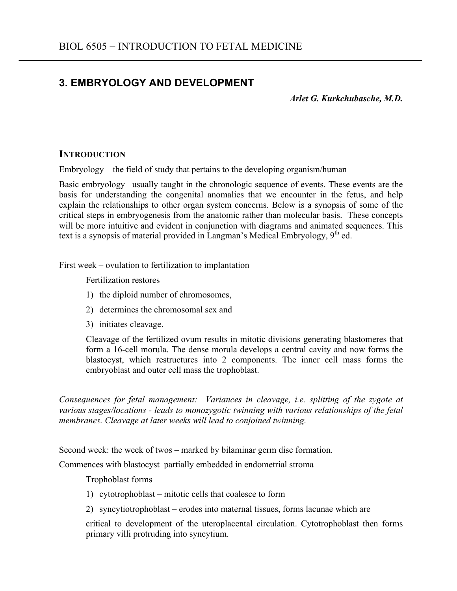## **3. EMBRYOLOGY AND DEVELOPMENT**

*Arlet G. Kurkchubasche, M.D.*

## **INTRODUCTION**

Embryology – the field of study that pertains to the developing organism/human

Basic embryology –usually taught in the chronologic sequence of events. These events are the basis for understanding the congenital anomalies that we encounter in the fetus, and help explain the relationships to other organ system concerns. Below is a synopsis of some of the critical steps in embryogenesis from the anatomic rather than molecular basis. These concepts will be more intuitive and evident in conjunction with diagrams and animated sequences. This text is a synopsis of material provided in Langman's Medical Embryology,  $9<sup>th</sup>$  ed.

First week – ovulation to fertilization to implantation

Fertilization restores

- 1) the diploid number of chromosomes,
- 2) determines the chromosomal sex and
- 3) initiates cleavage.

Cleavage of the fertilized ovum results in mitotic divisions generating blastomeres that form a 16-cell morula. The dense morula develops a central cavity and now forms the blastocyst, which restructures into 2 components. The inner cell mass forms the embryoblast and outer cell mass the trophoblast.

*Consequences for fetal management: Variances in cleavage, i.e. splitting of the zygote at various stages/locations - leads to monozygotic twinning with various relationships of the fetal membranes. Cleavage at later weeks will lead to conjoined twinning.*

Second week: the week of twos – marked by bilaminar germ disc formation.

Commences with blastocyst partially embedded in endometrial stroma

Trophoblast forms –

- 1) cytotrophoblast mitotic cells that coalesce to form
- 2) syncytiotrophoblast erodes into maternal tissues, forms lacunae which are

critical to development of the uteroplacental circulation. Cytotrophoblast then forms primary villi protruding into syncytium.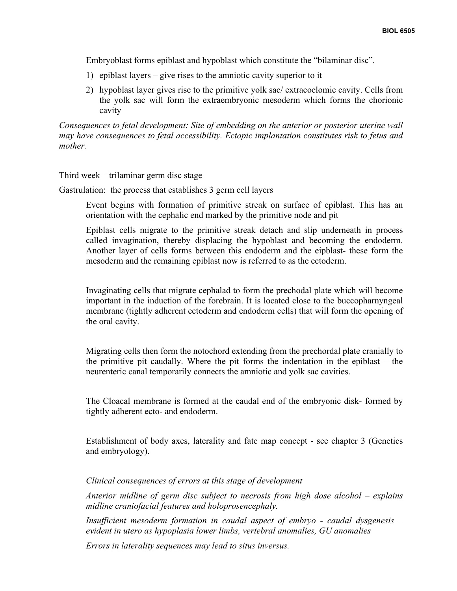Embryoblast forms epiblast and hypoblast which constitute the "bilaminar disc".

- 1) epiblast layers give rises to the amniotic cavity superior to it
- 2) hypoblast layer gives rise to the primitive yolk sac/ extracoelomic cavity. Cells from the yolk sac will form the extraembryonic mesoderm which forms the chorionic cavity

*Consequences to fetal development: Site of embedding on the anterior or posterior uterine wall may have consequences to fetal accessibility. Ectopic implantation constitutes risk to fetus and mother.*

Third week – trilaminar germ disc stage

Gastrulation: the process that establishes 3 germ cell layers

Event begins with formation of primitive streak on surface of epiblast. This has an orientation with the cephalic end marked by the primitive node and pit

Epiblast cells migrate to the primitive streak detach and slip underneath in process called invagination, thereby displacing the hypoblast and becoming the endoderm. Another layer of cells forms between this endoderm and the eipblast- these form the mesoderm and the remaining epiblast now is referred to as the ectoderm.

Invaginating cells that migrate cephalad to form the prechodal plate which will become important in the induction of the forebrain. It is located close to the buccopharnyngeal membrane (tightly adherent ectoderm and endoderm cells) that will form the opening of the oral cavity.

Migrating cells then form the notochord extending from the prechordal plate cranially to the primitive pit caudally. Where the pit forms the indentation in the epiblast – the neurenteric canal temporarily connects the amniotic and yolk sac cavities.

The Cloacal membrane is formed at the caudal end of the embryonic disk- formed by tightly adherent ecto- and endoderm.

Establishment of body axes, laterality and fate map concept - see chapter 3 (Genetics and embryology).

*Clinical consequences of errors at this stage of development*

*Anterior midline of germ disc subject to necrosis from high dose alcohol – explains midline craniofacial features and holoprosencephaly.*

*Insufficient mesoderm formation in caudal aspect of embryo - caudal dysgenesis – evident in utero as hypoplasia lower limbs, vertebral anomalies, GU anomalies*

*Errors in laterality sequences may lead to situs inversus.*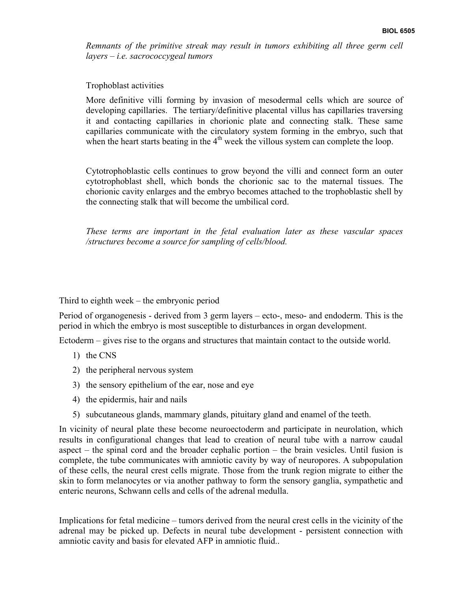*Remnants of the primitive streak may result in tumors exhibiting all three germ cell layers – i.e. sacrococcygeal tumors*

Trophoblast activities

More definitive villi forming by invasion of mesodermal cells which are source of developing capillaries. The tertiary/definitive placental villus has capillaries traversing it and contacting capillaries in chorionic plate and connecting stalk. These same capillaries communicate with the circulatory system forming in the embryo, such that when the heart starts beating in the  $4<sup>th</sup>$  week the villous system can complete the loop.

Cytotrophoblastic cells continues to grow beyond the villi and connect form an outer cytotrophoblast shell, which bonds the chorionic sac to the maternal tissues. The chorionic cavity enlarges and the embryo becomes attached to the trophoblastic shell by the connecting stalk that will become the umbilical cord.

*These terms are important in the fetal evaluation later as these vascular spaces /structures become a source for sampling of cells/blood.*

Third to eighth week – the embryonic period

Period of organogenesis - derived from 3 germ layers – ecto-, meso- and endoderm. This is the period in which the embryo is most susceptible to disturbances in organ development.

Ectoderm – gives rise to the organs and structures that maintain contact to the outside world.

- 1) the CNS
- 2) the peripheral nervous system
- 3) the sensory epithelium of the ear, nose and eye
- 4) the epidermis, hair and nails
- 5) subcutaneous glands, mammary glands, pituitary gland and enamel of the teeth.

In vicinity of neural plate these become neuroectoderm and participate in neurolation, which results in configurational changes that lead to creation of neural tube with a narrow caudal aspect – the spinal cord and the broader cephalic portion – the brain vesicles. Until fusion is complete, the tube communicates with amniotic cavity by way of neuropores. A subpopulation of these cells, the neural crest cells migrate. Those from the trunk region migrate to either the skin to form melanocytes or via another pathway to form the sensory ganglia, sympathetic and enteric neurons, Schwann cells and cells of the adrenal medulla.

Implications for fetal medicine – tumors derived from the neural crest cells in the vicinity of the adrenal may be picked up. Defects in neural tube development - persistent connection with amniotic cavity and basis for elevated AFP in amniotic fluid..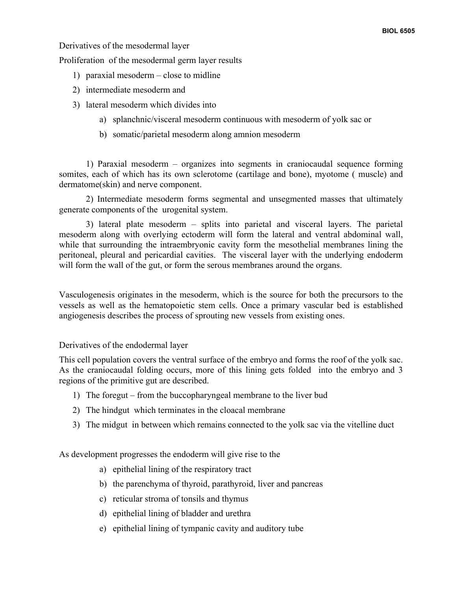Derivatives of the mesodermal layer

Proliferation of the mesodermal germ layer results

- 1) paraxial mesoderm close to midline
- 2) intermediate mesoderm and
- 3) lateral mesoderm which divides into
	- a) splanchnic/visceral mesoderm continuous with mesoderm of yolk sac or
	- b) somatic/parietal mesoderm along amnion mesoderm

1) Paraxial mesoderm – organizes into segments in craniocaudal sequence forming somites, each of which has its own sclerotome (cartilage and bone), myotome ( muscle) and dermatome(skin) and nerve component.

2) Intermediate mesoderm forms segmental and unsegmented masses that ultimately generate components of the urogenital system.

3) lateral plate mesoderm – splits into parietal and visceral layers. The parietal mesoderm along with overlying ectoderm will form the lateral and ventral abdominal wall, while that surrounding the intraembryonic cavity form the mesothelial membranes lining the peritoneal, pleural and pericardial cavities. The visceral layer with the underlying endoderm will form the wall of the gut, or form the serous membranes around the organs.

Vasculogenesis originates in the mesoderm, which is the source for both the precursors to the vessels as well as the hematopoietic stem cells. Once a primary vascular bed is established angiogenesis describes the process of sprouting new vessels from existing ones.

## Derivatives of the endodermal layer

This cell population covers the ventral surface of the embryo and forms the roof of the yolk sac. As the craniocaudal folding occurs, more of this lining gets folded into the embryo and 3 regions of the primitive gut are described.

- 1) The foregut from the buccopharyngeal membrane to the liver bud
- 2) The hindgut which terminates in the cloacal membrane
- 3) The midgut in between which remains connected to the yolk sac via the vitelline duct

As development progresses the endoderm will give rise to the

- a) epithelial lining of the respiratory tract
- b) the parenchyma of thyroid, parathyroid, liver and pancreas
- c) reticular stroma of tonsils and thymus
- d) epithelial lining of bladder and urethra
- e) epithelial lining of tympanic cavity and auditory tube